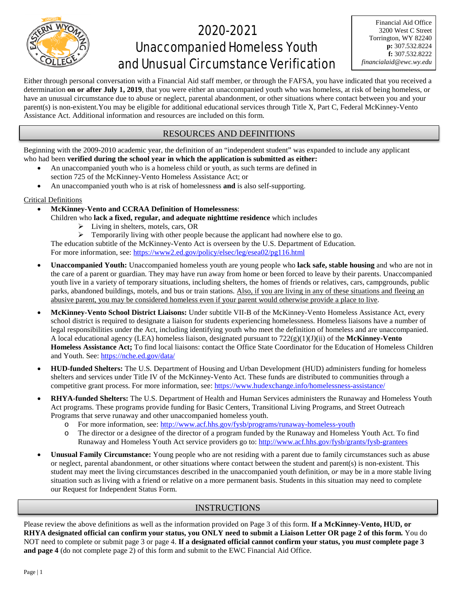

## 2020-2021 Unaccompanied Homeless Youth and Unusual Circumstance Verification

Either through personal conversation with a Financial Aid staff member, or through the FAFSA, you have indicated that you received a determination **on or after July 1, 2019**, that you were either an unaccompanied youth who was homeless, at risk of being homeless, or have an unusual circumstance due to abuse or neglect, parental abandonment, or other situations where contact between you and your parent(s) is non-existent.You may be eligible for additional educational services through Title X, Part C, Federal McKinney-Vento Assistance Act. Additional information and resources are included on this form.

## RESOURCES AND DEFINITIONS

Beginning with the 2009-2010 academic year, the definition of an "independent student" was expanded to include any applicant who had been **verified during the school year in which the application is submitted as either:**

- An unaccompanied youth who is a homeless child or youth, as such terms are defined in section 725 of the McKinney-Vento Homeless Assistance Act; or
- An unaccompanied youth who is at risk of homelessness **and** is also self-supporting.

#### Critical Definitions

- **McKinney-Vento and CCRAA Definition of Homelessness**:
	- Children who **lack a fixed, regular, and adequate nighttime residence** which includes
		- Living in shelters, motels, cars, OR

 $\triangleright$  Temporarily living with other people because the applicant had nowhere else to go. The education subtitle of the McKinney-Vento Act is overseen by the U.S. Department of Education. For more information, see: https://www2.ed.gov/policy/elsec/leg/esea02/pg116.html

- **Unaccompanied Youth:** Unaccompanied homeless youth are young people who **lack safe, stable housing** and who are not in the care of a parent or guardian. They may have run away from home or been forced to leave by their parents. Unaccompanied youth live in a variety of temporary situations, including shelters, the homes of friends or relatives, cars, campgrounds, public parks, abandoned buildings, motels, and bus or train stations. Also, if you are living in any of these situations and fleeing an abusive parent, you may be considered homeless even if your parent would otherwise provide a place to live.
- **McKinney-Vento School District Liaisons:** Under subtitle VII-B of the McKinney-Vento Homeless Assistance Act, every school district is required to designate a liaison for students experiencing homelessness. Homeless liaisons have a number of legal responsibilities under the Act, including identifying youth who meet the definition of homeless and are unaccompanied. A local educational agency (LEA) homeless liaison, designated pursuant to 722(g)(1)(J)(ii) of the **McKinney-Vento Homeless Assistance Act;** To find local liaisons: contact the Office State Coordinator for the Education of Homeless Children and Youth. See:<https://nche.ed.gov/data/>
- **HUD-funded Shelters:** The U.S. Department of Housing and Urban Development (HUD) administers funding for homeless shelters and services under Title IV of the McKinney-Vento Act. These funds are distributed to communities through a competitive grant process. For more information, see:<https://www.hudexchange.info/homelessness-assistance/>
- **RHYA-funded Shelters:** The U.S. Department of Health and Human Services administers the Runaway and Homeless Youth Act programs. These programs provide funding for Basic Centers, Transitional Living Programs, and Street Outreach Programs that serve runaway and other unaccompanied homeless youth.
	- o For more information, see:<http://www.acf.hhs.gov/fysb/programs/runaway-homeless-youth>
	- o The director or a designee of the director of a program funded by the Runaway and Homeless Youth Act. To find Runaway and Homeless Youth Act service providers go to[: http://www.acf.hhs.gov/fysb/grants/fysb-grantees](http://www.acf.hhs.gov/fysb/grants/fysb-grantees)
- **Unusual Family Circumstance:** Young people who are not residing with a parent due to family circumstances such as abuse or neglect, parental abandonment, or other situations where contact between the student and parent(s) is non-existent. This student may meet the living circumstances described in the unaccompanied youth definition, *or* may be in a more stable living situation such as living with a friend or relative on a more permanent basis. Students in this situation may need to complete our Request for Independent Status Form.

## INSTRUCTIONS

Please review the above definitions as well as the information provided on Page 3 of this form. **If a McKinney-Vento, HUD, or RHYA designated official can confirm your status, you ONLY need to submit a Liaison Letter OR page 2 of this form.** You do NOT need to complete or submit page 3 or page 4. **If a designated official cannot confirm your status, you** *must* **complete page 3 and page 4** (do not complete page 2) of this form and submit to the EWC Financial Aid Office.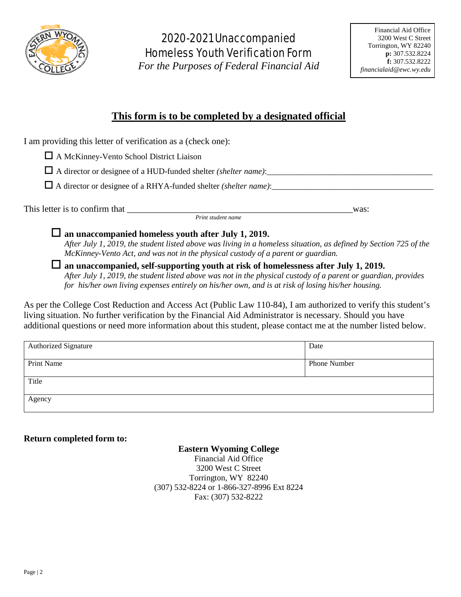

## 2020-2021 Unaccompanied Homeless Youth Verification Form

*For the Purposes of Federal Financial Aid*

## **This form is to be completed by a designated official**

| I am providing this letter of verification as a (check one): |  |
|--------------------------------------------------------------|--|
|--------------------------------------------------------------|--|

A McKinney-Vento School District Liaison

 $\Box$  A director or designee of a HUD-funded shelter *(shelter name)*:

A director or designee of a RHYA-funded shelter *(shelter name)*:\_\_\_\_\_\_\_\_\_\_\_\_\_\_\_\_\_\_\_\_\_\_\_\_\_\_\_\_\_\_\_\_\_\_\_\_\_\_\_

This letter is to confirm that \_\_\_\_\_\_\_\_\_\_\_\_\_\_\_\_\_\_\_\_\_\_\_\_\_\_\_\_\_\_\_\_\_\_\_\_\_\_\_\_\_\_\_\_\_\_\_\_\_\_was: *Print student name*

**an unaccompanied homeless youth after July 1, 2019.**

*After July 1, 2019, the student listed above was living in a homeless situation, as defined by Section 725 of the McKinney-Vento Act, and was not in the physical custody of a parent or guardian.* 

 **an unaccompanied, self-supporting youth at risk of homelessness after July 1, 2019.** *After July 1, 2019, the student listed above was not in the physical custody of a parent or guardian, provides for his/her own living expenses entirely on his/her own, and is at risk of losing his/her housing.* 

As per the College Cost Reduction and Access Act (Public Law 110-84), I am authorized to verify this student's living situation. No further verification by the Financial Aid Administrator is necessary. Should you have additional questions or need more information about this student, please contact me at the number listed below.

| <b>Authorized Signature</b> | Date         |
|-----------------------------|--------------|
|                             |              |
| Print Name                  | Phone Number |
|                             |              |
| Title                       |              |
|                             |              |
| Agency                      |              |
|                             |              |

## **Return completed form to:**

## **Eastern Wyoming College**

Financial Aid Office 3200 West C Street Torrington, WY 82240 (307) 532-8224 or 1-866-327-8996 Ext 8224 Fax: (307) 532-8222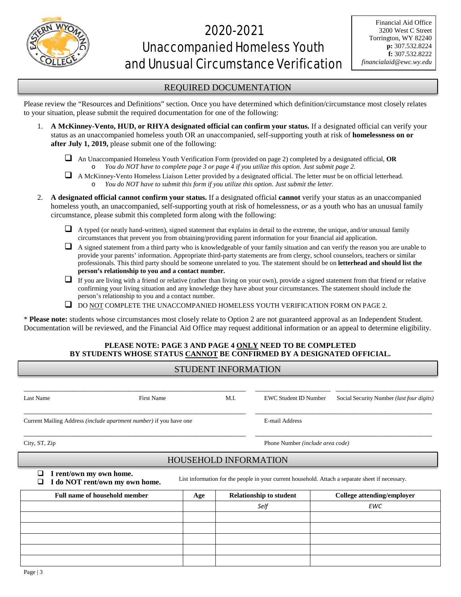

# 2020-2021 Unaccompanied Homeless Youth and Unusual Circumstance Verification

### REQUIRED DOCUMENTATION

Please review the "Resources and Definitions" section. Once you have determined which definition/circumstance most closely relates to your situation, please submit the required documentation for one of the following:

- 1. **A McKinney-Vento, HUD, or RHYA designated official can confirm your status.** If a designated official can verify your status as an unaccompanied homeless youth OR an unaccompanied, self-supporting youth at risk of **homelessness on or after July 1, 2019,** please submit one of the following:
	- An Unaccompanied Homeless Youth Verification Form (provided on page 2) completed by a designated official, **OR** o *You do NOT have to complete page 3 or page 4 if you utilize this option. Just submit page 2.*
	- A McKinney-Vento Homeless Liaison Letter provided by a designated official. The letter *must* be on official letterhead. o *You do NOT have to submit this form if you utilize this option. Just submit the letter.*
- 2. **A designated official cannot confirm your status.** If a designated official **cannot** verify your status as an unaccompanied homeless youth, an unaccompanied, self-supporting youth at risk of homelessness, *or* as a youth who has an unusual family circumstance, please submit this completed form along with the following:
	- $\Box$  A typed (or neatly hand-written), signed statement that explains in detail to the extreme, the unique, and/or unusual family circumstances that prevent you from obtaining/providing parent information for your financial aid application.
	- $\Box$  A signed statement from a third party who is knowledgeable of your family situation and can verify the reason you are unable to provide your parents' information. Appropriate third-party statements are from clergy, school counselors, teachers or similar professionals. This third party should be someone unrelated to you. The statement should be on **letterhead and should list the person's relationship to you and a contact number.**
	- If you are living with a friend or relative (rather than living on your own), provide a signed statement from that friend or relative confirming your living situation and any knowledge they have about your circumstances. The statement should include the person's relationship to you and a contact number.
	- $\Box$  DO NOT COMPLETE THE UNACCOMPANIED HOMELESS YOUTH VERIFICATION FORM ON PAGE 2.

\* **Please note:** students whose circumstances most closely relate to Option 2 are not guaranteed approval as an Independent Student. Documentation will be reviewed, and the Financial Aid Office may request additional information or an appeal to determine eligibility.

### **PLEASE NOTE: PAGE 3 AND PAGE 4 ONLY NEED TO BE COMPLETED BY STUDENTS WHOSE STATUS CANNOT BE CONFIRMED BY A DESIGNATED OFFICIAL.**

## STUDENT INFORMATION

| Last Name                                                                                                                                                          | <b>First Name</b>                    |     | M.I.           | <b>EWC Student ID Number</b>     | Social Security Number (last four digits) |  |  |  |
|--------------------------------------------------------------------------------------------------------------------------------------------------------------------|--------------------------------------|-----|----------------|----------------------------------|-------------------------------------------|--|--|--|
| Current Mailing Address <i>(include apartment number)</i> if you have one                                                                                          |                                      |     | E-mail Address |                                  |                                           |  |  |  |
| City, ST, Zip                                                                                                                                                      |                                      |     |                | Phone Number (include area code) |                                           |  |  |  |
| <b>HOUSEHOLD INFORMATION</b>                                                                                                                                       |                                      |     |                |                                  |                                           |  |  |  |
| I rent/own my own home.<br>ப<br>List information for the people in your current household. Attach a separate sheet if necessary.<br>I do NOT rent/own my own home. |                                      |     |                |                                  |                                           |  |  |  |
|                                                                                                                                                                    | <b>Full name of household member</b> | Age |                | <b>Relationship to student</b>   | <b>College attending/employer</b>         |  |  |  |
|                                                                                                                                                                    |                                      |     |                | Self                             | <b>EWC</b>                                |  |  |  |
|                                                                                                                                                                    |                                      |     |                |                                  |                                           |  |  |  |
|                                                                                                                                                                    |                                      |     |                |                                  |                                           |  |  |  |
|                                                                                                                                                                    |                                      |     |                |                                  |                                           |  |  |  |
|                                                                                                                                                                    |                                      |     |                |                                  |                                           |  |  |  |